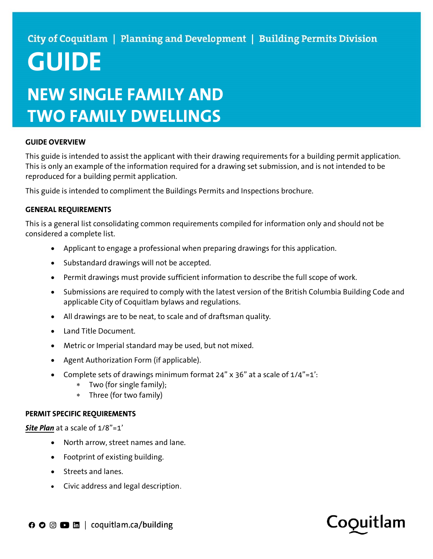### City of Coquitlam | Planning and Development | Building Permits Division

# GUIDE

## NEW SINGLE FAMILY AND TWO FAMILY DWELLINGS

#### GUIDE OVERVIEW

This guide is intended to assist the applicant with their drawing requirements for a building permit application. This is only an example of the information required for a drawing set submission, and is not intended to be reproduced for a building permit application.

This guide is intended to compliment the Buildings Permits and Inspections brochure.

#### GENERAL REQUIREMENTS

This is a general list consolidating common requirements compiled for information only and should not be considered a complete list.

- Applicant to engage a professional when preparing drawings for this application.
- Substandard drawings will not be accepted.
- Permit drawings must provide sufficient information to describe the full scope of work.
- Submissions are required to comply with the latest version of the British Columbia Building Code and applicable City of Coquitlam bylaws and regulations.
- All drawings are to be neat, to scale and of draftsman quality.
- Land Title Document.
- Metric or Imperial standard may be used, but not mixed.
- Agent Authorization Form (if applicable).
- Complete sets of drawings minimum format 24" x 36" at a scale of 1/4"=1':
	- Two (for single family);
	- Three (for two family)

#### PERMIT SPECIFIC REQUIREMENTS

#### Site Plan at a scale of 1/8"=1'

- North arrow, street names and lane.
- Footprint of existing building.
- Streets and lanes.
- Civic address and legal description.

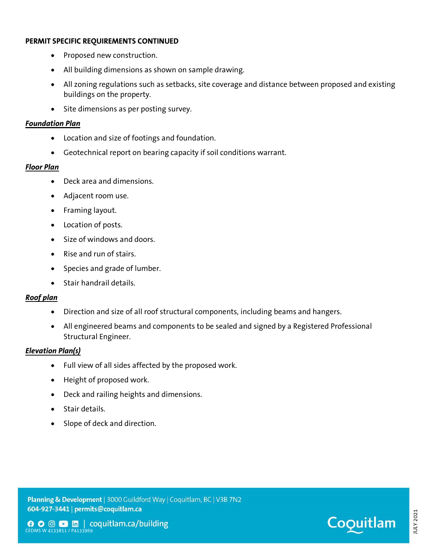#### PERMIT SPECIFIC REQUIREMENTS CONTINUED

- Proposed new construction.
- All building dimensions as shown on sample drawing.
- All zoning regulations such as setbacks, site coverage and distance between proposed and existing buildings on the property.
- Site dimensions as per posting survey.

#### Foundation Plan

- Location and size of footings and foundation.
- Geotechnical report on bearing capacity if soil conditions warrant.

#### Floor Plan

- Deck area and dimensions.
- Adjacent room use.
- Framing layout.
- Location of posts.
- Size of windows and doors.
- Rise and run of stairs.
- Species and grade of lumber.
- Stair handrail details.

#### Roof plan

- Direction and size of all roof structural components, including beams and hangers.
- All engineered beams and components to be sealed and signed by a Registered Professional Structural Engineer.

#### Elevation Plan(s)

- Full view of all sides affected by the proposed work.
- Height of proposed work.
- Deck and railing heights and dimensions.
- Stair details.
- Slope of deck and direction.

Planning & Development | 3000 Guildford Way | Coquitlam, BC | V3B 7N2 CEDMS W 4133851 / P4133969 JULY 2021